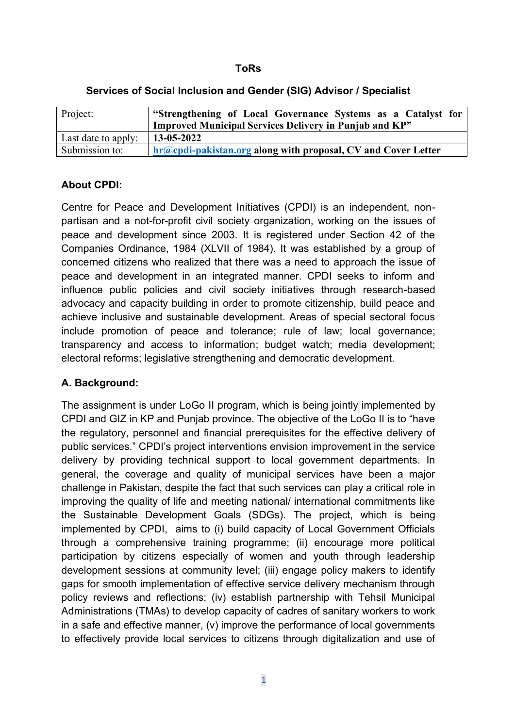#### **ToRs**

| Project:            | "Strengthening of Local Governance Systems as a Catalyst for                |
|---------------------|-----------------------------------------------------------------------------|
|                     | <b>Improved Municipal Services Delivery in Punjab and KP"</b>               |
| Last date to apply: | $13 - 05 - 2022$                                                            |
| Submission to:      | $\frac{1}{2}$ hr@cpdi-pakistan.org along with proposal, CV and Cover Letter |

#### **Services of Social Inclusion and Gender (SIG) Advisor / Specialist**

### **About CPDI:**

Centre for Peace and Development Initiatives (CPDI) is an independent, nonpartisan and a not-for-profit civil society organization, working on the issues of peace and development since 2003. It is registered under Section 42 of the Companies Ordinance, 1984 (XLVII of 1984). It was established by a group of concerned citizens who realized that there was a need to approach the issue of peace and development in an integrated manner. CPDI seeks to inform and influence public policies and civil society initiatives through research-based advocacy and capacity building in order to promote citizenship, build peace and achieve inclusive and sustainable development. Areas of special sectoral focus include promotion of peace and tolerance; rule of law; local governance; transparency and access to information; budget watch; media development; electoral reforms; legislative strengthening and democratic development.

### **A. Background:**

The assignment is under LoGo II program, which is being jointly implemented by CPDI and GIZ in KP and Punjab province. The objective of the LoGo II is to "have the regulatory, personnel and financial prerequisites for the effective delivery of public services." CPDI's project interventions envision improvement in the service delivery by providing technical support to local government departments. In general, the coverage and quality of municipal services have been a major challenge in Pakistan, despite the fact that such services can play a critical role in improving the quality of life and meeting national/ international commitments like the Sustainable Development Goals (SDGs). The project, which is being implemented by CPDI, aims to (i) build capacity of Local Government Officials through a comprehensive training programme; (ii) encourage more political participation by citizens especially of women and youth through leadership development sessions at community level; (iii) engage policy makers to identify gaps for smooth implementation of effective service delivery mechanism through policy reviews and reflections; (iv) establish partnership with Tehsil Municipal Administrations (TMAs) to develop capacity of cadres of sanitary workers to work in a safe and effective manner, (v) improve the performance of local governments to effectively provide local services to citizens through digitalization and use of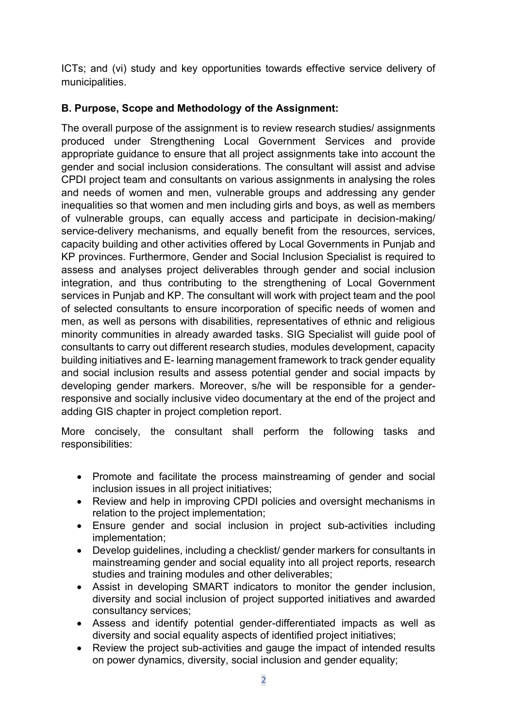ICTs; and (vi) study and key opportunities towards effective service delivery of municipalities.

# **B. Purpose, Scope and Methodology of the Assignment:**

The overall purpose of the assignment is to review research studies/ assignments produced under Strengthening Local Government Services and provide appropriate guidance to ensure that all project assignments take into account the gender and social inclusion considerations. The consultant will assist and advise CPDI project team and consultants on various assignments in analysing the roles and needs of women and men, vulnerable groups and addressing any gender inequalities so that women and men including girls and boys, as well as members of vulnerable groups, can equally access and participate in decision-making/ service-delivery mechanisms, and equally benefit from the resources, services, capacity building and other activities offered by Local Governments in Punjab and KP provinces. Furthermore, Gender and Social Inclusion Specialist is required to assess and analyses project deliverables through gender and social inclusion integration, and thus contributing to the strengthening of Local Government services in Punjab and KP. The consultant will work with project team and the pool of selected consultants to ensure incorporation of specific needs of women and men, as well as persons with disabilities, representatives of ethnic and religious minority communities in already awarded tasks. SIG Specialist will guide pool of consultants to carry out different research studies, modules development, capacity building initiatives and E- learning management framework to track gender equality and social inclusion results and assess potential gender and social impacts by developing gender markers. Moreover, s/he will be responsible for a genderresponsive and socially inclusive video documentary at the end of the project and adding GIS chapter in project completion report.

More concisely, the consultant shall perform the following tasks and responsibilities:

- Promote and facilitate the process mainstreaming of gender and social inclusion issues in all project initiatives;
- Review and help in improving CPDI policies and oversight mechanisms in relation to the project implementation;
- Ensure gender and social inclusion in project sub-activities including implementation;
- Develop guidelines, including a checklist/ gender markers for consultants in mainstreaming gender and social equality into all project reports, research studies and training modules and other deliverables;
- Assist in developing SMART indicators to monitor the gender inclusion, diversity and social inclusion of project supported initiatives and awarded consultancy services;
- Assess and identify potential gender-differentiated impacts as well as diversity and social equality aspects of identified project initiatives;
- Review the project sub-activities and gauge the impact of intended results on power dynamics, diversity, social inclusion and gender equality;